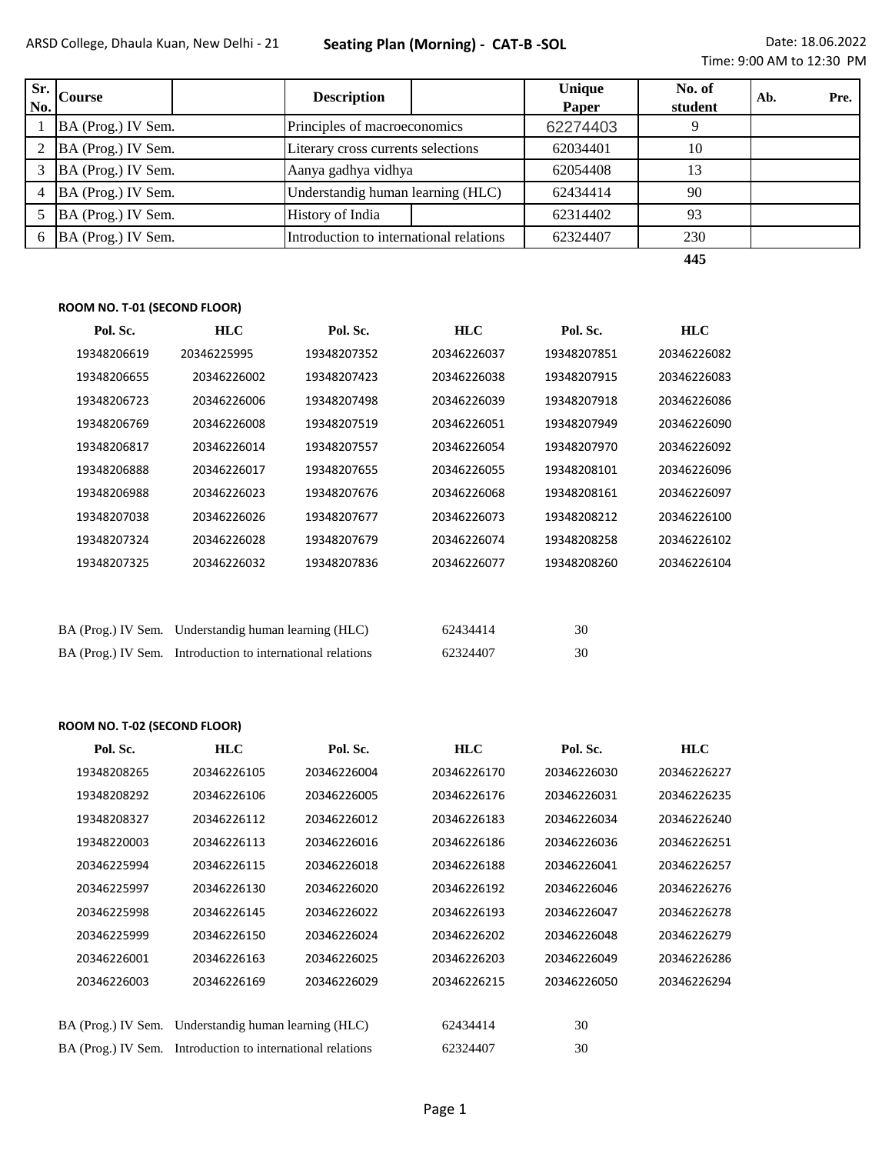| No. | $\left.\mathbf{s}_{\text{r}}\right _{\text{Course}}$ | <b>Description</b>                 |                                         | <b>Unique</b><br>Paper | No. of<br>student | Ab. | Pre. |
|-----|------------------------------------------------------|------------------------------------|-----------------------------------------|------------------------|-------------------|-----|------|
|     | BA (Prog.) IV Sem.                                   | Principles of macroeconomics       |                                         | 62274403               | 9                 |     |      |
|     | BA (Prog.) IV Sem.                                   | Literary cross currents selections |                                         | 62034401               | 10                |     |      |
|     | BA (Prog.) IV Sem.                                   | Aanya gadhya vidhya                |                                         | 62054408               | 13                |     |      |
|     | BA (Prog.) IV Sem.                                   |                                    | Understandig human learning (HLC)       |                        | 90                |     |      |
|     | BA (Prog.) IV Sem.                                   | History of India                   |                                         | 62314402               | 93                |     |      |
|     | BA (Prog.) IV Sem.                                   |                                    | Introduction to international relations |                        | 230               |     |      |

**445**

## **ROOM NO. T-01 (SECOND FLOOR)**

| Pol. Sc.    | <b>HLC</b>  | Pol. Sc.    | <b>HLC</b>  | Pol. Sc.    | <b>HLC</b>  |
|-------------|-------------|-------------|-------------|-------------|-------------|
| 19348206619 | 20346225995 | 19348207352 | 20346226037 | 19348207851 | 20346226082 |
| 19348206655 | 20346226002 | 19348207423 | 20346226038 | 19348207915 | 20346226083 |
| 19348206723 | 20346226006 | 19348207498 | 20346226039 | 19348207918 | 20346226086 |
| 19348206769 | 20346226008 | 19348207519 | 20346226051 | 19348207949 | 20346226090 |
| 19348206817 | 20346226014 | 19348207557 | 20346226054 | 19348207970 | 20346226092 |
| 19348206888 | 20346226017 | 19348207655 | 20346226055 | 19348208101 | 20346226096 |
| 19348206988 | 20346226023 | 19348207676 | 20346226068 | 19348208161 | 20346226097 |
| 19348207038 | 20346226026 | 19348207677 | 20346226073 | 19348208212 | 20346226100 |
| 19348207324 | 20346226028 | 19348207679 | 20346226074 | 19348208258 | 20346226102 |
| 19348207325 | 20346226032 | 19348207836 | 20346226077 | 19348208260 | 20346226104 |
|             |             |             |             |             |             |
|             |             |             |             |             |             |

| BA (Prog.) IV Sem. Understandig human learning (HLC)       | 62434414 | 30 |
|------------------------------------------------------------|----------|----|
| BA (Prog.) IV Sem. Introduction to international relations | 62324407 | 30 |

## **ROOM NO. T-02 (SECOND FLOOR)**

| Pol. Sc.    | <b>HLC</b>                                                 | Pol. Sc.    | <b>HLC</b>  | Pol. Sc.    | <b>HLC</b>  |
|-------------|------------------------------------------------------------|-------------|-------------|-------------|-------------|
| 19348208265 | 20346226105                                                | 20346226004 | 20346226170 | 20346226030 | 20346226227 |
| 19348208292 | 20346226106                                                | 20346226005 | 20346226176 | 20346226031 | 20346226235 |
| 19348208327 | 20346226112                                                | 20346226012 | 20346226183 | 20346226034 | 20346226240 |
| 19348220003 | 20346226113                                                | 20346226016 | 20346226186 | 20346226036 | 20346226251 |
| 20346225994 | 20346226115                                                | 20346226018 | 20346226188 | 20346226041 | 20346226257 |
| 20346225997 | 20346226130                                                | 20346226020 | 20346226192 | 20346226046 | 20346226276 |
| 20346225998 | 20346226145                                                | 20346226022 | 20346226193 | 20346226047 | 20346226278 |
| 20346225999 | 20346226150                                                | 20346226024 | 20346226202 | 20346226048 | 20346226279 |
| 20346226001 | 20346226163                                                | 20346226025 | 20346226203 | 20346226049 | 20346226286 |
| 20346226003 | 20346226169                                                | 20346226029 | 20346226215 | 20346226050 | 20346226294 |
|             |                                                            |             |             |             |             |
|             | BA (Prog.) IV Sem. Understandig human learning (HLC)       |             | 62434414    | 30          |             |
|             | BA (Prog.) IV Sem. Introduction to international relations |             | 62324407    | 30          |             |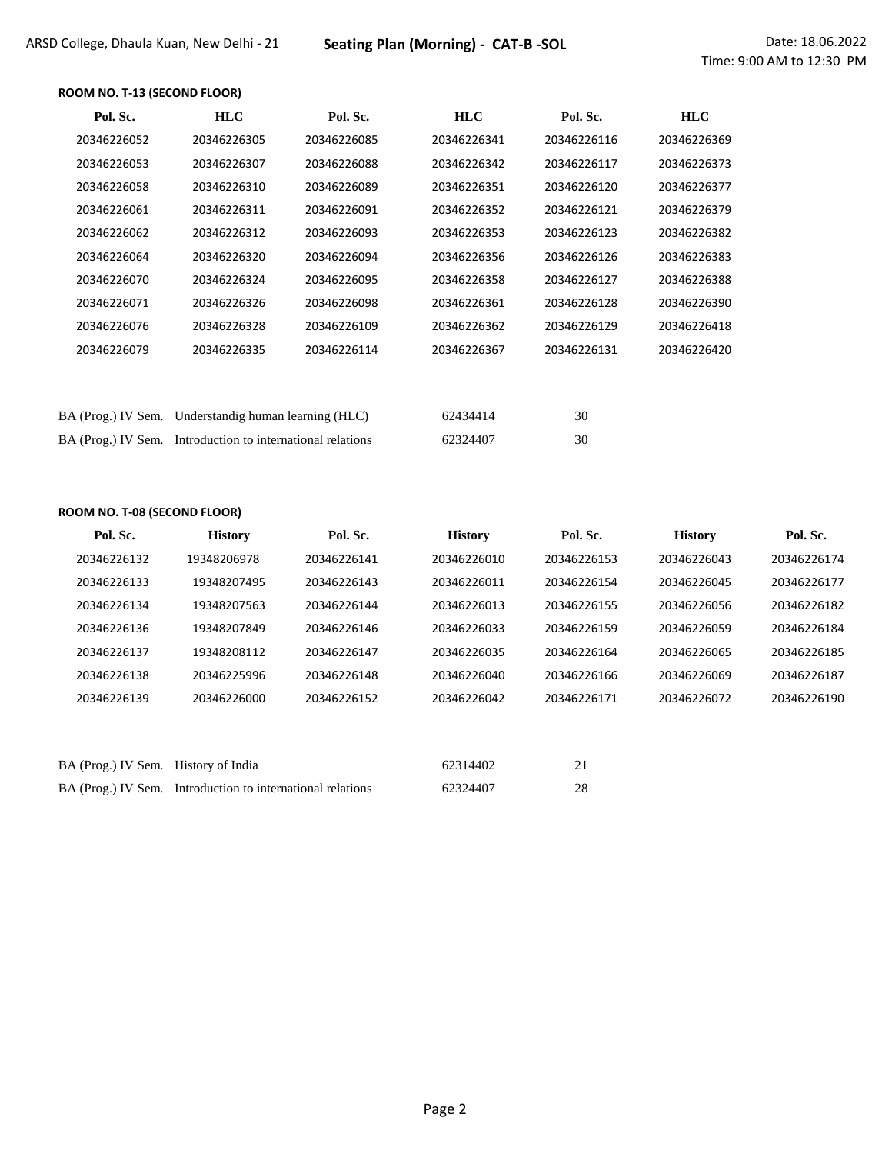## **ROOM NO. T-13 (SECOND FLOOR)**

| Pol. Sc.    | <b>HLC</b>                                                 | Pol. Sc.    | <b>HLC</b>  | Pol. Sc.    | <b>HLC</b>  |
|-------------|------------------------------------------------------------|-------------|-------------|-------------|-------------|
| 20346226052 | 20346226305                                                | 20346226085 | 20346226341 | 20346226116 | 20346226369 |
| 20346226053 | 20346226307                                                | 20346226088 | 20346226342 | 20346226117 | 20346226373 |
| 20346226058 | 20346226310                                                | 20346226089 | 20346226351 | 20346226120 | 20346226377 |
| 20346226061 | 20346226311                                                | 20346226091 | 20346226352 | 20346226121 | 20346226379 |
| 20346226062 | 20346226312                                                | 20346226093 | 20346226353 | 20346226123 | 20346226382 |
| 20346226064 | 20346226320                                                | 20346226094 | 20346226356 | 20346226126 | 20346226383 |
| 20346226070 | 20346226324                                                | 20346226095 | 20346226358 | 20346226127 | 20346226388 |
| 20346226071 | 20346226326                                                | 20346226098 | 20346226361 | 20346226128 | 20346226390 |
| 20346226076 | 20346226328                                                | 20346226109 | 20346226362 | 20346226129 | 20346226418 |
| 20346226079 | 20346226335                                                | 20346226114 | 20346226367 | 20346226131 | 20346226420 |
|             |                                                            |             |             |             |             |
|             |                                                            |             |             |             |             |
|             | BA (Prog.) IV Sem. Understandig human learning (HLC)       |             | 62434414    | 30          |             |
|             | BA (Prog.) IV Sem. Introduction to international relations |             | 62324407    | 30          |             |

#### **ROOM NO. T-08 (SECOND FLOOR)**

| Pol. Sc.           | <b>History</b>                          | Pol. Sc.    | <b>History</b> | Pol. Sc.    | <b>History</b> | Pol. Sc.    |
|--------------------|-----------------------------------------|-------------|----------------|-------------|----------------|-------------|
| 20346226132        | 19348206978                             | 20346226141 | 20346226010    | 20346226153 | 20346226043    | 20346226174 |
| 20346226133        | 19348207495                             | 20346226143 | 20346226011    | 20346226154 | 20346226045    | 20346226177 |
| 20346226134        | 19348207563                             | 20346226144 | 20346226013    | 20346226155 | 20346226056    | 20346226182 |
| 20346226136        | 19348207849                             | 20346226146 | 20346226033    | 20346226159 | 20346226059    | 20346226184 |
| 20346226137        | 19348208112                             | 20346226147 | 20346226035    | 20346226164 | 20346226065    | 20346226185 |
| 20346226138        | 20346225996                             | 20346226148 | 20346226040    | 20346226166 | 20346226069    | 20346226187 |
| 20346226139        | 20346226000                             | 20346226152 | 20346226042    | 20346226171 | 20346226072    | 20346226190 |
|                    |                                         |             |                |             |                |             |
|                    |                                         |             |                |             |                |             |
| BA (Prog.) IV Sem. | History of India                        |             | 62314402       | 21          |                |             |
| BA (Prog.) IV Sem. | Introduction to international relations |             | 62324407       | 28          |                |             |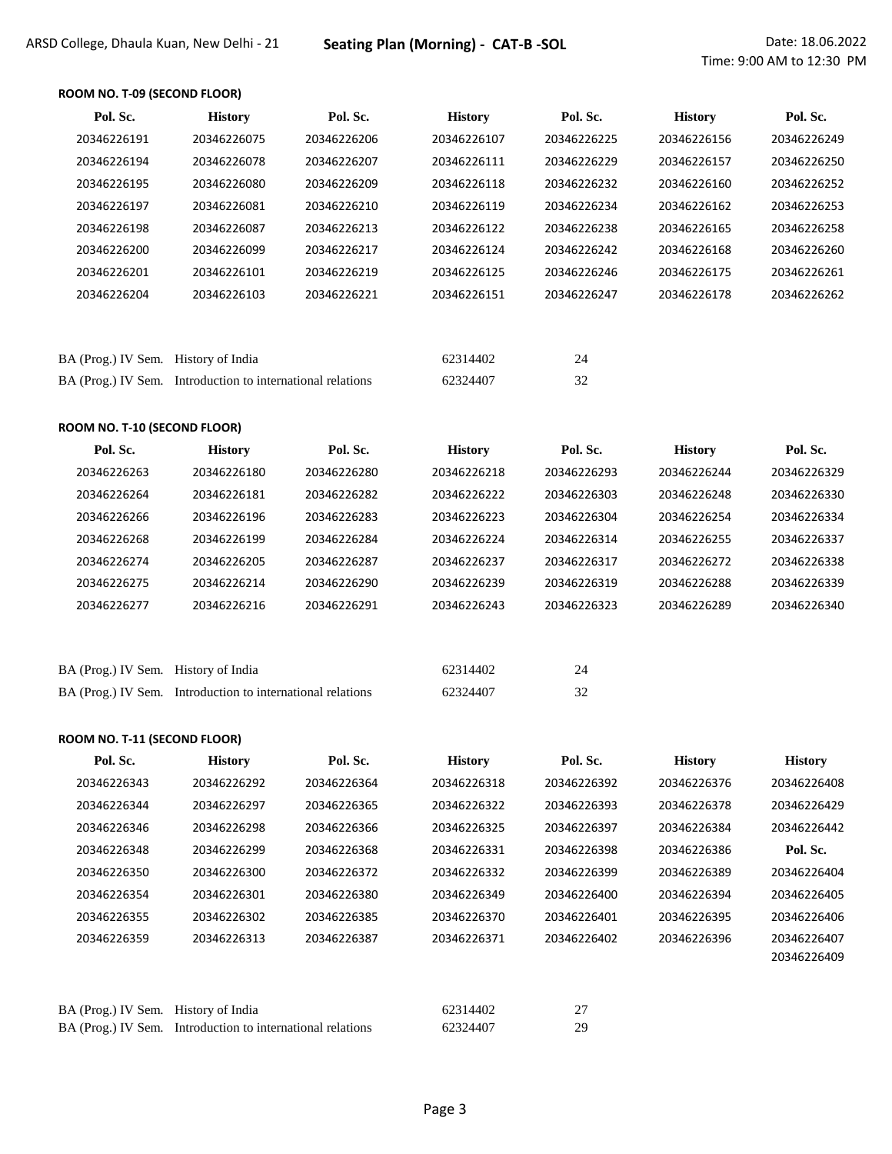## **ROOM NO. T-09 (SECOND FLOOR)**

| Pol. Sc.                            | <b>History</b>                                             | Pol. Sc.    | <b>History</b>       | Pol. Sc.    | <b>History</b> | Pol. Sc.    |
|-------------------------------------|------------------------------------------------------------|-------------|----------------------|-------------|----------------|-------------|
| 20346226191                         | 20346226075                                                | 20346226206 | 20346226107          | 20346226225 | 20346226156    | 20346226249 |
| 20346226194                         | 20346226078                                                | 20346226207 | 20346226111          | 20346226229 | 20346226157    | 20346226250 |
| 20346226195                         | 20346226080                                                | 20346226209 | 20346226118          | 20346226232 | 20346226160    | 20346226252 |
| 20346226197                         | 20346226081                                                | 20346226210 | 20346226119          | 20346226234 | 20346226162    | 20346226253 |
| 20346226198                         | 20346226087                                                | 20346226213 | 20346226122          | 20346226238 | 20346226165    | 20346226258 |
| 20346226200                         | 20346226099                                                | 20346226217 | 20346226124          | 20346226242 | 20346226168    | 20346226260 |
| 20346226201                         | 20346226101                                                | 20346226219 | 20346226125          | 20346226246 | 20346226175    | 20346226261 |
| 20346226204                         | 20346226103                                                | 20346226221 | 20346226151          | 20346226247 | 20346226178    | 20346226262 |
|                                     |                                                            |             |                      |             |                |             |
|                                     |                                                            |             |                      |             |                |             |
| BA (Prog.) IV Sem. History of India |                                                            |             | 62314402             | 24          |                |             |
|                                     | BA (Prog.) IV Sem. Introduction to international relations |             | 62324407             | 32          |                |             |
|                                     |                                                            |             |                      |             |                |             |
| <b>ROOM NO. T-10 (SECOND FLOOR)</b> |                                                            |             |                      |             |                |             |
| Pol. Sc.                            | <b>History</b>                                             | Pol. Sc.    | <b>History</b>       | Pol. Sc.    | <b>History</b> | Pol. Sc.    |
| 20346226263                         | 20346226180                                                | 20346226280 | 20346226218          | 20346226293 | 20346226244    | 20346226329 |
| 20346226264                         | 20346226181                                                | 20346226282 | 20346226222          | 20346226303 | 20346226248    | 20346226330 |
| 20346226266                         | 20346226196                                                | 20346226283 | 20346226223          | 20346226304 | 20346226254    | 20346226334 |
| 20346226268                         | 20346226199                                                | 20346226284 | 20346226224          | 20346226314 | 20346226255    | 20346226337 |
| 20346226274                         | 20346226205                                                | 20346226287 | 20346226237          | 20346226317 | 20346226272    | 20346226338 |
| 20346226275                         | 20346226214                                                | 20346226290 | 20346226239          | 20346226319 | 20346226288    | 20346226339 |
| 20346226277                         | 20346226216                                                | 20346226291 | 20346226243          | 20346226323 | 20346226289    | 20346226340 |
|                                     |                                                            |             |                      |             |                |             |
|                                     |                                                            |             |                      |             |                |             |
|                                     |                                                            |             |                      |             |                |             |
| BA (Prog.) IV Sem. History of India | BA (Prog.) IV Sem. Introduction to international relations |             | 62314402<br>62324407 | 24<br>32    |                |             |

#### **ROOM NO. T-11 (SECOND FLOOR)**

| Pol. Sc.    | <b>History</b> | Pol. Sc.    | <b>History</b> | Pol. Sc.    | <b>History</b> | <b>History</b> |
|-------------|----------------|-------------|----------------|-------------|----------------|----------------|
| 20346226343 | 20346226292    | 20346226364 | 20346226318    | 20346226392 | 20346226376    | 20346226408    |
| 20346226344 | 20346226297    | 20346226365 | 20346226322    | 20346226393 | 20346226378    | 20346226429    |
| 20346226346 | 20346226298    | 20346226366 | 20346226325    | 20346226397 | 20346226384    | 20346226442    |
| 20346226348 | 20346226299    | 20346226368 | 20346226331    | 20346226398 | 20346226386    | Pol. Sc.       |
| 20346226350 | 20346226300    | 20346226372 | 20346226332    | 20346226399 | 20346226389    | 20346226404    |
| 20346226354 | 20346226301    | 20346226380 | 20346226349    | 20346226400 | 20346226394    | 20346226405    |
| 20346226355 | 20346226302    | 20346226385 | 20346226370    | 20346226401 | 20346226395    | 20346226406    |
| 20346226359 | 20346226313    | 20346226387 | 20346226371    | 20346226402 | 20346226396    | 20346226407    |
|             |                |             |                |             |                | 20346226409    |
|             |                |             |                |             |                |                |
|             |                |             |                |             |                |                |

| BA (Prog.) IV Sem. History of India |                                                            | 62314402 |     |
|-------------------------------------|------------------------------------------------------------|----------|-----|
|                                     | BA (Prog.) IV Sem. Introduction to international relations | 62324407 | 29. |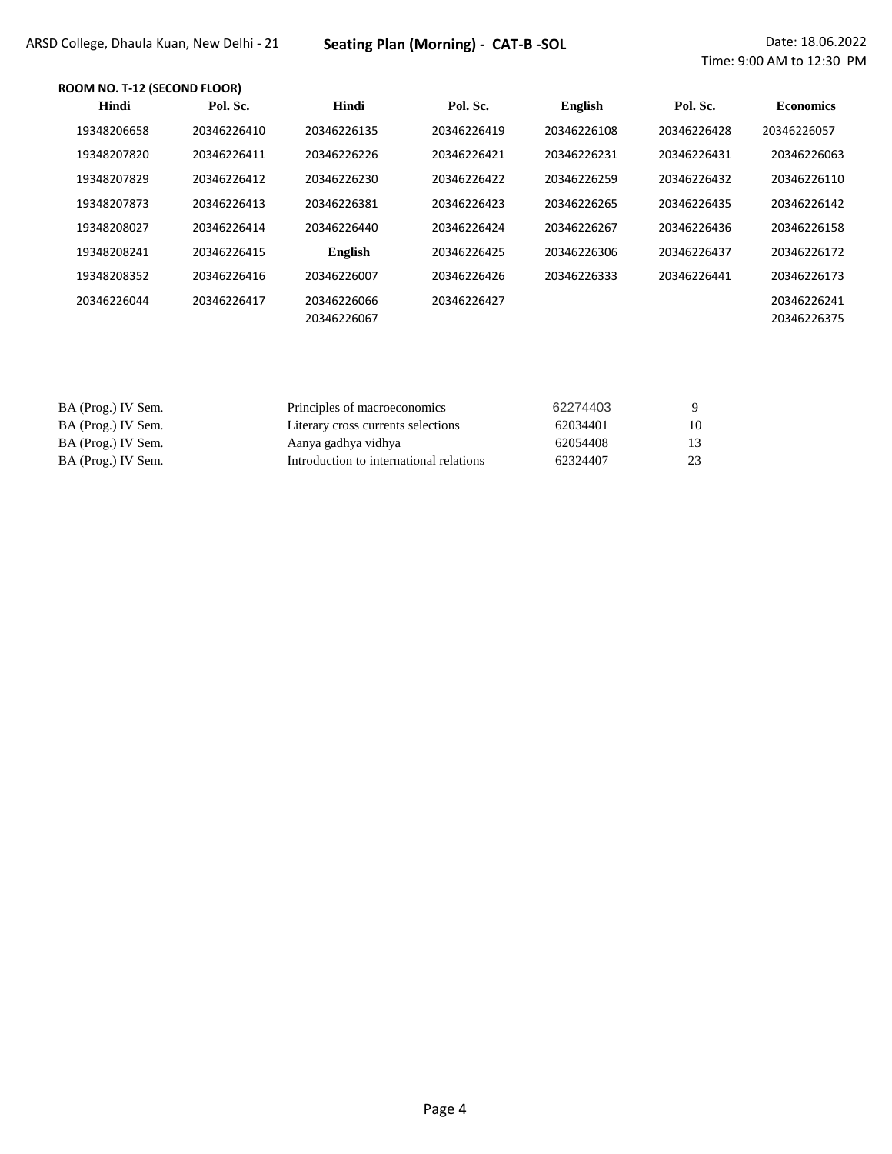## **ROOM NO. T-12 (SECOND FLOOR)**

| Hindi       | Pol. Sc.    | Hindi                      | Pol. Sc.    | <b>English</b> | Pol. Sc.    | <b>Economics</b>           |
|-------------|-------------|----------------------------|-------------|----------------|-------------|----------------------------|
| 19348206658 | 20346226410 | 20346226135                | 20346226419 | 20346226108    | 20346226428 | 20346226057                |
| 19348207820 | 20346226411 | 20346226226                | 20346226421 | 20346226231    | 20346226431 | 20346226063                |
| 19348207829 | 20346226412 | 20346226230                | 20346226422 | 20346226259    | 20346226432 | 20346226110                |
| 19348207873 | 20346226413 | 20346226381                | 20346226423 | 20346226265    | 20346226435 | 20346226142                |
| 19348208027 | 20346226414 | 20346226440                | 20346226424 | 20346226267    | 20346226436 | 20346226158                |
| 19348208241 | 20346226415 | <b>English</b>             | 20346226425 | 20346226306    | 20346226437 | 20346226172                |
| 19348208352 | 20346226416 | 20346226007                | 20346226426 | 20346226333    | 20346226441 | 20346226173                |
| 20346226044 | 20346226417 | 20346226066<br>20346226067 | 20346226427 |                |             | 20346226241<br>20346226375 |

| BA (Prog.) IV Sem. | Principles of macroeconomics            | 62274403 |    |
|--------------------|-----------------------------------------|----------|----|
| BA (Prog.) IV Sem. | Literary cross currents selections      | 62034401 | 10 |
| BA (Prog.) IV Sem. | Aanya gadhya vidhya                     | 62054408 |    |
| BA (Prog.) IV Sem. | Introduction to international relations | 62324407 | 23 |